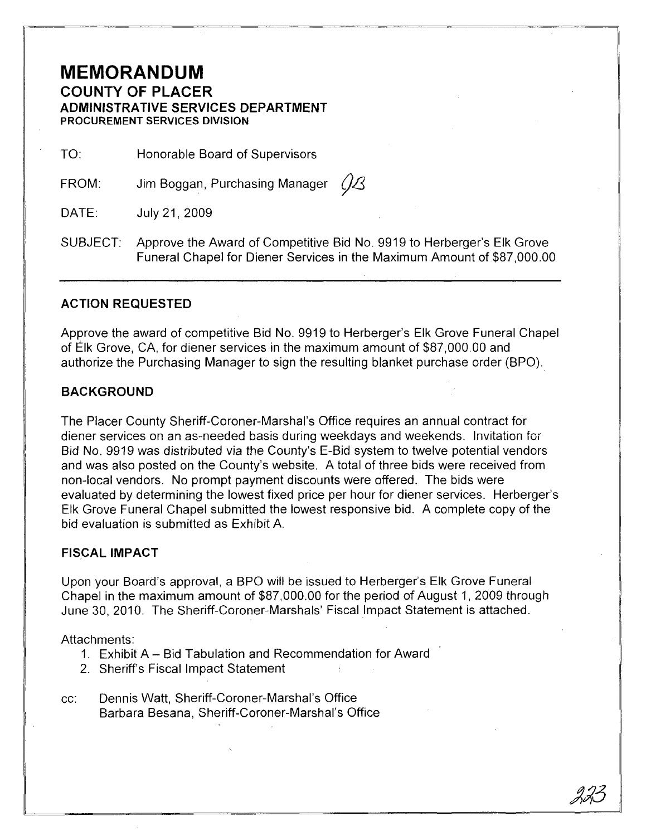# **MEMORANDUM COUNTY OF PLACER ADMINISTRATIVE SERVICES DEPARTMENT PROCUREMENT SERVICES DIVISION**

TO: Honorable Board of Supervisors

FROM: Jim Boggan, Purchasing Manager  $\mathcal{O}\mathcal{B}$ 

DATE: July 21,2009

SUBJECT: Approve the Award of Competitive Bid No. 9919 to Herberger's Elk Grove Funeral Chapel for Diener Services in the Maximum Amount of \$87,000.00

#### **ACTION REQUESTED**

Approve the award of competitive Bid No. 9919 to Herberger's Elk Grove Funeral Chapel of Elk Grove, CA, for diener services in the maximum amount of \$87,000.00 and authorize the Purchasing Manager to sign the resulting blanket purchase order (BPO).

#### **BACKGROUND**

The Placer County Sheriff-Coroner-Marshal's Office requires an annual contract for diener services on an as-needed basis during weekdays and weekends. Invitation for Bid No. 9919 was distributed via the County's E-Bid system to twelve potential vendors and was also posted on the County's website. A total of three bids were received from non-local vendors. No prompt payment discounts were offered. The bids were evaluated by determining the lowest fixed price per hour for diener services. Herberger's Elk Grove Funeral Chapel submitted the lowest responsive bid. A complete copy of the bid evaluation is submitted as Exhibit A.

### **FISCAL IMPACT**

Upon your Board's approval, a BPO will be issued to Herberger's Elk Grove Funeral Chapel in the maximum amount of \$87,000.00 for the period of August 1, 2009 through June 30, 2010. The Sheriff-Coroner-Marshals' Fiscal Impact Statement is attached.

#### Attachments:

- 1. Exhibit A Bid Tabulation and Recommendation for Award
- 2. Sheriff's Fiscal Impact Statement
- cc: Dennis Watt, Sheriff-Coroner-Marshal's Office Barbara Besana, Sheriff-Coroner-Marshal's Office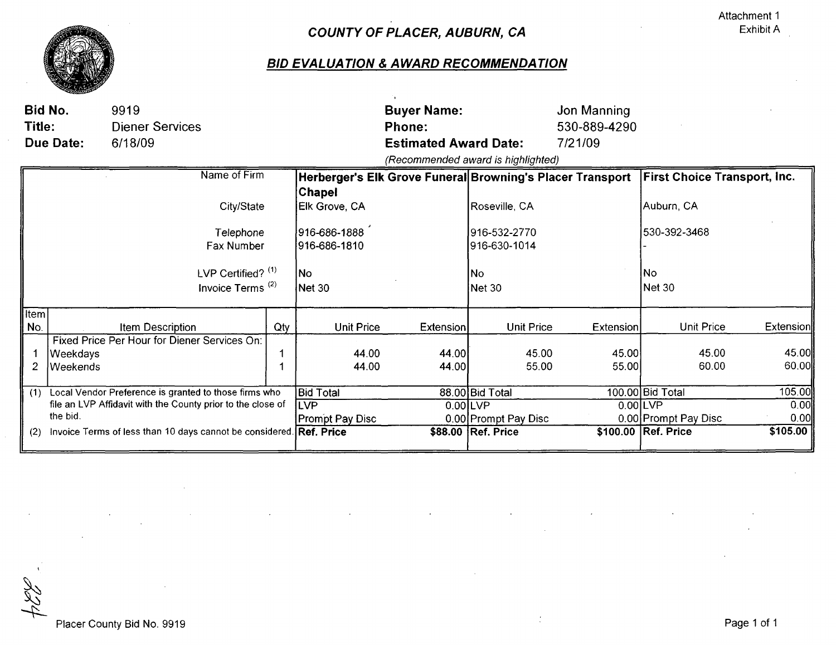

# COUNTY OF PLACER, AUBURN, CA

## **BID EVALUATION & AWARD RECOMMENDATION**

| Title:                                                                     | Bid No.<br>Due Date:                                  | 9919<br><b>Diener Services</b><br>6/18/09                                            |                  |                                                                                  | <b>Buyer Name:</b><br><b>Phone:</b><br><b>Estimated Award Date:</b> |                                                               | Jon Manning<br>530-889-4290<br>7/21/09 |                                              |                  |
|----------------------------------------------------------------------------|-------------------------------------------------------|--------------------------------------------------------------------------------------|------------------|----------------------------------------------------------------------------------|---------------------------------------------------------------------|---------------------------------------------------------------|----------------------------------------|----------------------------------------------|------------------|
|                                                                            |                                                       |                                                                                      |                  |                                                                                  |                                                                     | (Recommended award is highlighted)                            |                                        |                                              |                  |
|                                                                            |                                                       | Name of Firm                                                                         |                  | Herberger's Elk Grove Funeral Browning's Placer Transport                        |                                                                     |                                                               |                                        | <b>First Choice Transport, Inc.</b>          |                  |
|                                                                            |                                                       | City/State<br>Telephone<br>Fax Number<br>LVP Certified? $(1)$<br>Invoice Terms $(2)$ |                  | <b>Chapel</b><br>Elk Grove, CA<br>916-686-1888<br>1916-686-1810<br> No<br>Net 30 |                                                                     | Roseville, CA<br>916-532-2770<br>916-630-1014<br>No<br>Net 30 |                                        | Auburn, CA<br>530-392-3468 <br> No<br>Net 30 |                  |
| <b>Item</b>                                                                |                                                       |                                                                                      |                  |                                                                                  |                                                                     |                                                               |                                        |                                              |                  |
| No.                                                                        |                                                       | <b>Item Description</b>                                                              | Qty              | <b>Unit Price</b>                                                                | Extension                                                           | <b>Unit Price</b>                                             | Extension                              | <b>Unit Price</b>                            | <b>Extension</b> |
| 2                                                                          | Weekdays<br>Weekends                                  | Fixed Price Per Hour for Diener Services On:                                         |                  | 44.00<br>44.00                                                                   | 44.00<br>44.00                                                      | 45.00<br>55.00                                                | 45.00<br>55.00                         | 45.00<br>60.00                               | 45.00<br>60.00   |
| (1)                                                                        | Local Vendor Preference is granted to those firms who |                                                                                      | <b>Bid Total</b> |                                                                                  | 88.00 Bid Total                                                     |                                                               | 100.00 Bid Total                       | 105.00                                       |                  |
| file an LVP Affidavit with the County prior to the close of<br>the bid.    |                                                       |                                                                                      |                  | <b>ILVP</b><br><b>Prompt Pay Disc</b>                                            | 0.00LVP                                                             | 0.00 Prompt Pay Disc                                          |                                        | 0.00LVP<br>0.00 Prompt Pay Disc              | 0.00<br>0.00     |
| Invoice Terms of less than 10 days cannot be considered. Ref. Price<br>(2) |                                                       |                                                                                      |                  |                                                                                  | \$88.00 Ref. Price                                                  |                                                               | \$100.00 Ref. Price                    | \$105.00                                     |                  |